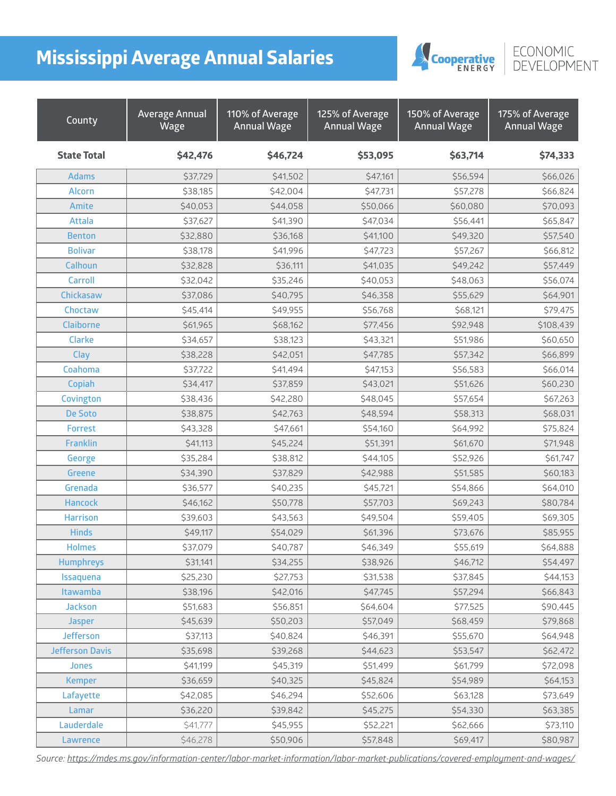## **Mississippi Average Annual Salaries**



## ECONOMIC<br>DEVELOPMENT

| County                 | <b>Average Annual</b><br>Wage | 110% of Average<br><b>Annual Wage</b> | 125% of Average<br><b>Annual Wage</b> | 150% of Average<br><b>Annual Wage</b> | 175% of Average<br><b>Annual Wage</b> |
|------------------------|-------------------------------|---------------------------------------|---------------------------------------|---------------------------------------|---------------------------------------|
| <b>State Total</b>     | \$42,476                      | \$46,724                              | \$53,095                              | \$63,714                              | \$74,333                              |
| <b>Adams</b>           | \$37,729                      | \$41,502                              | \$47,161                              | \$56,594                              | \$66,026                              |
| <b>Alcorn</b>          | \$38,185                      | \$42,004                              | \$47,731                              | \$57,278                              | \$66,824                              |
| Amite                  | \$40,053                      | \$44,058                              | \$50,066                              | \$60,080                              | \$70,093                              |
| <b>Attala</b>          | \$37,627                      | \$41,390                              | \$47,034                              | \$56,441                              | \$65,847                              |
| <b>Benton</b>          | \$32,880                      | \$36,168                              | \$41,100                              | \$49,320                              | \$57,540                              |
| <b>Bolivar</b>         | \$38,178                      | \$41,996                              | \$47,723                              | \$57,267                              | \$66,812                              |
| Calhoun                | \$32,828                      | \$36,111                              | \$41,035                              | \$49,242                              | \$57,449                              |
| <b>Carroll</b>         | \$32,042                      | \$35,246                              | \$40,053                              | \$48,063                              | \$56,074                              |
| Chickasaw              | \$37,086                      | \$40,795                              | \$46,358                              | \$55,629                              | \$64,901                              |
| Choctaw                | \$45,414                      | \$49,955                              | \$56,768                              | \$68,121                              | \$79,475                              |
| Claiborne              | \$61,965                      | \$68,162                              | \$77,456                              | \$92,948                              | \$108,439                             |
| <b>Clarke</b>          | \$34,657                      | \$38,123                              | \$43,321                              | \$51,986                              | \$60,650                              |
| Clay                   | \$38,228                      | \$42,051                              | \$47,785                              | \$57,342                              | \$66,899                              |
| Coahoma                | \$37,722                      | \$41,494                              | \$47,153                              | \$56,583                              | \$66,014                              |
| Copiah                 | \$34,417                      | \$37,859                              | \$43,021                              | \$51,626                              | \$60,230                              |
| Covington              | \$38,436                      | \$42,280                              | \$48,045                              | \$57,654                              | \$67,263                              |
| <b>De Soto</b>         | \$38,875                      | \$42,763                              | \$48,594                              | \$58,313                              | \$68,031                              |
| Forrest                | \$43,328                      | \$47,661                              | \$54,160                              | \$64,992                              | \$75,824                              |
| <b>Franklin</b>        | \$41,113                      | \$45,224                              | \$51,391                              | \$61,670                              | \$71,948                              |
| George                 | \$35,284                      | \$38,812                              | \$44,105                              | \$52,926                              | \$61,747                              |
| <b>Greene</b>          | \$34,390                      | \$37,829                              | \$42,988                              | \$51,585                              | \$60,183                              |
| Grenada                | \$36,577                      | \$40,235                              | \$45,721                              | \$54,866                              | \$64,010                              |
| <b>Hancock</b>         | \$46,162                      | \$50,778                              | \$57,703                              | \$69,243                              | \$80,784                              |
| <b>Harrison</b>        | \$39,603                      | \$43,563                              | \$49,504                              | \$59,405                              | \$69,305                              |
| <b>Hinds</b>           | \$49,117                      | \$54,029                              | \$61,396                              | \$73,676                              | \$85,955                              |
| <b>Holmes</b>          | \$37,079                      | \$40,787                              | \$46,349                              | \$55,619                              | \$64,888                              |
| <b>Humphreys</b>       | \$31,141                      | \$34,255                              | \$38,926                              | \$46,712                              | \$54,497                              |
| Issaquena              | \$25,230                      | \$27,753                              | \$31,538                              | \$37,845                              | \$44,153                              |
| Itawamba               | \$38,196                      | \$42,016                              | \$47,745                              | \$57,294                              | \$66,843                              |
| <b>Jackson</b>         | \$51,683                      | \$56,851                              | \$64,604                              | \$77,525                              | \$90,445                              |
| <b>Jasper</b>          | \$45,639                      | \$50,203                              | \$57,049                              | \$68,459                              | \$79,868                              |
| Jefferson              | \$37,113                      | \$40,824                              | \$46,391                              | \$55,670                              | \$64,948                              |
| <b>Jefferson Davis</b> | \$35,698                      | \$39,268                              | \$44,623                              | \$53,547                              | \$62,472                              |
| <b>Jones</b>           | \$41,199                      | \$45,319                              | \$51,499                              | \$61,799                              | \$72,098                              |
| <b>Kemper</b>          | \$36,659                      | \$40,325                              | \$45,824                              | \$54,989                              | \$64,153                              |
| Lafayette              | \$42,085                      | \$46,294                              | \$52,606                              | \$63,128                              | \$73,649                              |
| Lamar                  | \$36,220                      | \$39,842                              | \$45,275                              | \$54,330                              | \$63,385                              |
| Lauderdale             | \$41,777                      | \$45,955                              | \$52,221                              | \$62,666                              | \$73,110                              |
| Lawrence               | \$46,278                      | \$50,906                              | \$57,848                              | \$69,417                              | \$80,987                              |

*Source: [https://mdes.ms.gov/information-center/labor-market-information/labor-market-publications/covered-employment-and-wages/](https://mdes.ms.gov/information-center/labor-market-information/labor-market-publications/covered-em)*